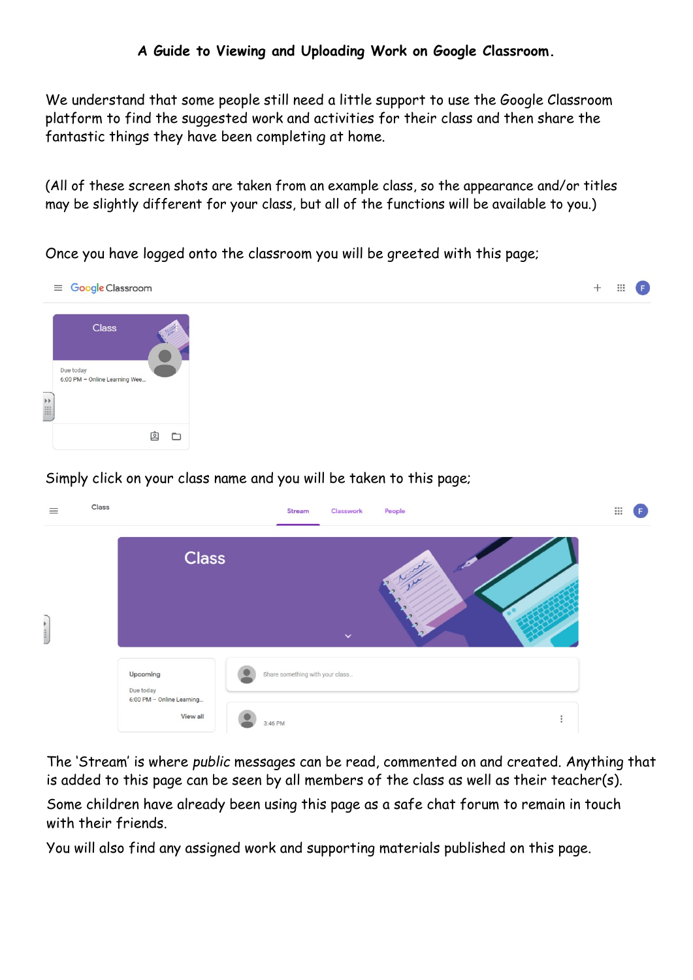We understand that some people still need a little support to use the Google Classroom platform to find the suggested work and activities for their class and then share the fantastic things they have been completing at home.

(All of these screen shots are taken from an example class, so the appearance and/or titles may be slightly different for your class, but all of the functions will be available to you.)

Once you have logged onto the classroom you will be greeted with this page;



Simply click on your class name and you will be taken to this page;



The 'Stream' is where public messages can be read, commented on and created. Anything that is added to this page can be seen by all members of the class as well as their teacher(s).

Some children have already been using this page as a safe chat forum to remain in touch with their friends.

You will also find any assigned work and supporting materials published on this page.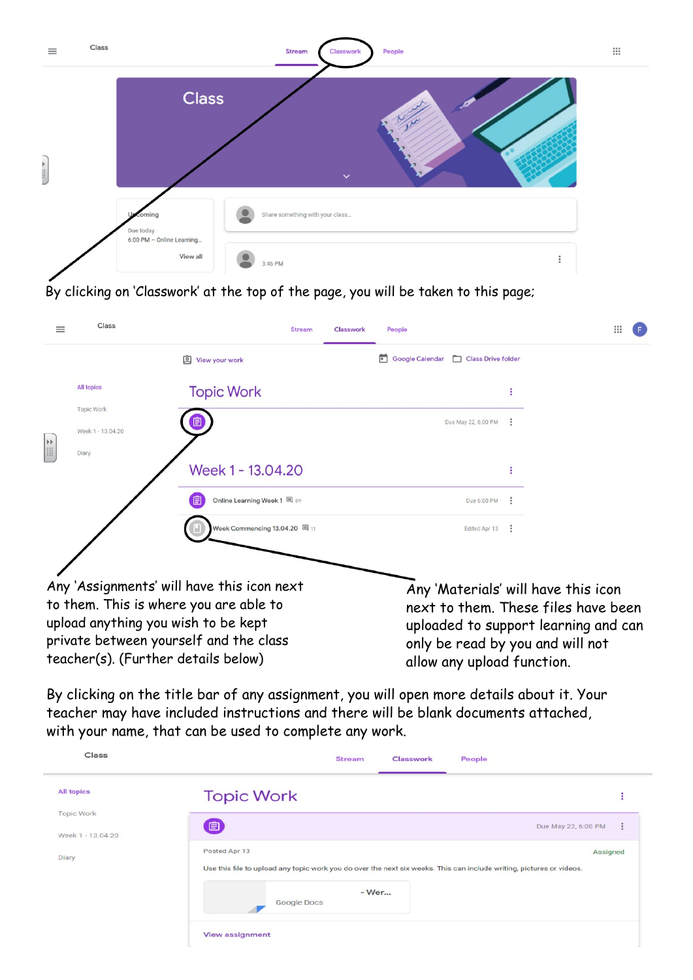| $\equiv$ | Class |                                       | <b>Stream</b><br>People<br>Classwork | $\mathop{\mathrel{\mathop{\mathop{\scriptstyle\rm ::}}\nolimits}}$ |
|----------|-------|---------------------------------------|--------------------------------------|--------------------------------------------------------------------|
|          |       | <b>Class</b>                          | $\checkmark$                         |                                                                    |
|          |       | coming<br>Due today                   | Share something with your class      |                                                                    |
|          |       | 6:00 PM - Online Learning<br>View all | ٠<br>٠<br>3:46 PM<br>٠               |                                                                    |

By clicking on 'Classwork' at the top of the page, you will be taken to this page;

| $\equiv$                                                                                                                                                                                                     | Class                                  | <b>Stream</b>                 | <b>Classwork</b> | People                                                                                                                                                                               |   | ₩ |
|--------------------------------------------------------------------------------------------------------------------------------------------------------------------------------------------------------------|----------------------------------------|-------------------------------|------------------|--------------------------------------------------------------------------------------------------------------------------------------------------------------------------------------|---|---|
|                                                                                                                                                                                                              |                                        | 回<br>View your work           |                  | Class Drive folder<br><b>Google Calendar</b>                                                                                                                                         |   |   |
| H                                                                                                                                                                                                            | <b>All topics</b>                      | <b>Topic Work</b>             |                  |                                                                                                                                                                                      |   |   |
|                                                                                                                                                                                                              | <b>Topic Work</b><br>Week 1 - 13.04.20 | ▣                             |                  | Due May 22, 6:00 PM                                                                                                                                                                  |   |   |
|                                                                                                                                                                                                              | Diary                                  | Week 1 - 13.04.20             |                  |                                                                                                                                                                                      |   |   |
|                                                                                                                                                                                                              |                                        | Online Learning Week 1 国 89   |                  | Due 6:00 PM                                                                                                                                                                          |   |   |
|                                                                                                                                                                                                              |                                        | Week Commencing 13.04.20   11 |                  | Edited Apr 13                                                                                                                                                                        | ÷ |   |
| Any 'Assignments' will have this icon next<br>to them. This is where you are able to<br>upload anything you wish to be kept<br>private between yourself and the class<br>teacher(s). (Further details below) |                                        |                               |                  | Any 'Materials' will have this icon<br>next to them. These files have been<br>uploaded to support learning and can<br>only be read by you and will not<br>allow any upload function. |   |   |

By clicking on the title bar of any assignment, you will open more details about it. Your teacher may have included instructions and there will be blank documents attached, with your name, that can be used to complete any work.

| Class                           | <b>Stream</b><br>Classwork<br>People                                                                                                  |                          |
|---------------------------------|---------------------------------------------------------------------------------------------------------------------------------------|--------------------------|
| <b>All topics</b>               | <b>Topic Work</b>                                                                                                                     | Е                        |
| Topic Work<br>Week 1 - 13.04.20 | 自                                                                                                                                     | ÷<br>Due May 22, 6:00 PM |
| Diary                           | Posted Apr 13<br>Use this file to upload any topic work you do over the next six weeks. This can include writing, pictures or videos. | Assigned                 |
|                                 | - Wer<br>Google Docs                                                                                                                  |                          |
|                                 | <b>View assignment</b>                                                                                                                |                          |